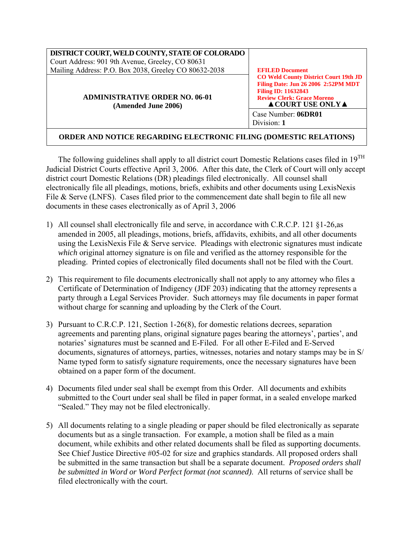| DISTRICT COURT, WELD COUNTY, STATE OF COLORADO<br>Court Address: 901 9th Avenue, Greeley, CO 80631<br>Mailing Address: P.O. Box 2038, Greeley CO 80632-2038 | <b>EFILED Document</b><br><b>CO Weld County District Court 19th JD</b><br>Filing Date: Jun 26 2006 2:52PM MDT<br><b>Filing ID: 11632843</b><br><b>Review Clerk: Grace Moreno</b><br>$\triangle$ COURT USE ONLY $\triangle$ |
|-------------------------------------------------------------------------------------------------------------------------------------------------------------|----------------------------------------------------------------------------------------------------------------------------------------------------------------------------------------------------------------------------|
| <b>ADMINISTRATIVE ORDER NO. 06-01</b><br>(Amended June 2006)                                                                                                |                                                                                                                                                                                                                            |
|                                                                                                                                                             | Case Number: 06DR01<br>Division: 1                                                                                                                                                                                         |

## **ORDER AND NOTICE REGARDING ELECTRONIC FILING (DOMESTIC RELATIONS)**

The following guidelines shall apply to all district court Domestic Relations cases filed in 19TH Judicial District Courts effective April 3, 2006. After this date, the Clerk of Court will only accept district court Domestic Relations (DR) pleadings filed electronically. All counsel shall electronically file all pleadings, motions, briefs, exhibits and other documents using LexisNexis File & Serve (LNFS). Cases filed prior to the commencement date shall begin to file all new documents in these cases electronically as of April 3, 2006

- 1) All counsel shall electronically file and serve, in accordance with C.R.C.P. 121 §1-26,as amended in 2005, all pleadings, motions, briefs, affidavits, exhibits, and all other documents using the LexisNexis File & Serve service. Pleadings with electronic signatures must indicate *which* original attorney signature is on file and verified as the attorney responsible for the pleading. Printed copies of electronically filed documents shall not be filed with the Court.
- 2) This requirement to file documents electronically shall not apply to any attorney who files a Certificate of Determination of Indigency (JDF 203) indicating that the attorney represents a party through a Legal Services Provider. Such attorneys may file documents in paper format without charge for scanning and uploading by the Clerk of the Court.
- 3) Pursuant to C.R.C.P. 121, Section 1-26(8), for domestic relations decrees, separation agreements and parenting plans, original signature pages bearing the attorneys', parties', and notaries' signatures must be scanned and E-Filed. For all other E-Filed and E-Served documents, signatures of attorneys, parties, witnesses, notaries and notary stamps may be in S/ Name typed form to satisfy signature requirements, once the necessary signatures have been obtained on a paper form of the document.
- 4) Documents filed under seal shall be exempt from this Order. All documents and exhibits submitted to the Court under seal shall be filed in paper format, in a sealed envelope marked "Sealed." They may not be filed electronically.
- 5) All documents relating to a single pleading or paper should be filed electronically as separate documents but as a single transaction. For example, a motion shall be filed as a main document, while exhibits and other related documents shall be filed as supporting documents. See Chief Justice Directive #05-02 for size and graphics standards. All proposed orders shall be submitted in the same transaction but shall be a separate document. *Proposed orders shall be submitted in Word or Word Perfect format (not scanned)*. All returns of service shall be filed electronically with the court.